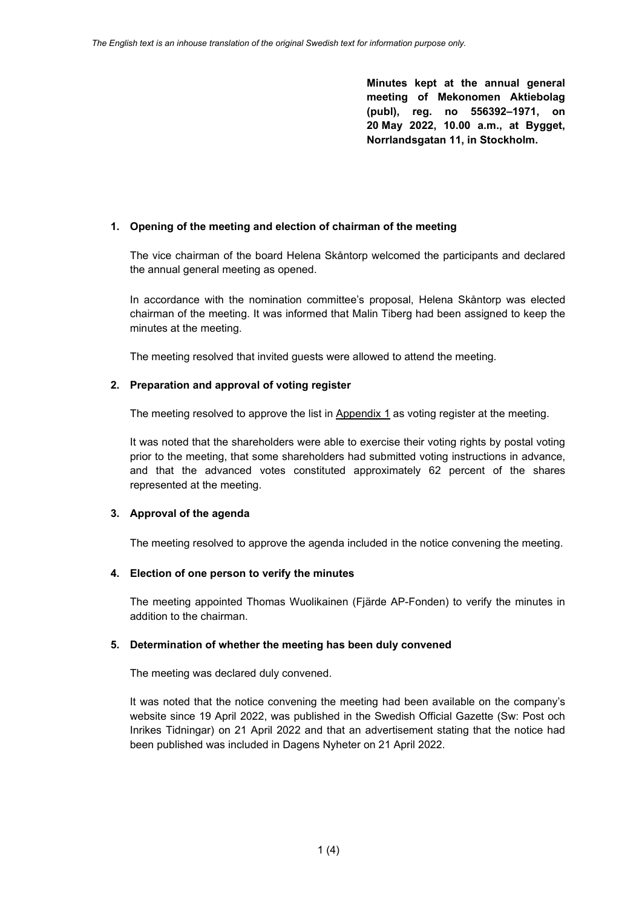**Minutes kept at the annual general meeting of Mekonomen Aktiebolag (publ), reg. no 556392–1971, on 20 May 2022, 10.00 a.m., at Bygget, Norrlandsgatan 11, in Stockholm.**

## **1. Opening of the meeting and election of chairman of the meeting**

The vice chairman of the board Helena Skåntorp welcomed the participants and declared the annual general meeting as opened.

In accordance with the nomination committee's proposal, Helena Skåntorp was elected chairman of the meeting. It was informed that Malin Tiberg had been assigned to keep the minutes at the meeting.

The meeting resolved that invited guests were allowed to attend the meeting.

# **2. Preparation and approval of voting register**

The meeting resolved to approve the list in Appendix 1 as voting register at the meeting.

It was noted that the shareholders were able to exercise their voting rights by postal voting prior to the meeting, that some shareholders had submitted voting instructions in advance, and that the advanced votes constituted approximately 62 percent of the shares represented at the meeting.

### **3. Approval of the agenda**

The meeting resolved to approve the agenda included in the notice convening the meeting.

### **4. Election of one person to verify the minutes**

The meeting appointed Thomas Wuolikainen (Fjärde AP-Fonden) to verify the minutes in addition to the chairman.

### **5. Determination of whether the meeting has been duly convened**

The meeting was declared duly convened.

It was noted that the notice convening the meeting had been available on the company's website since 19 April 2022, was published in the Swedish Official Gazette (Sw: Post och Inrikes Tidningar) on 21 April 2022 and that an advertisement stating that the notice had been published was included in Dagens Nyheter on 21 April 2022.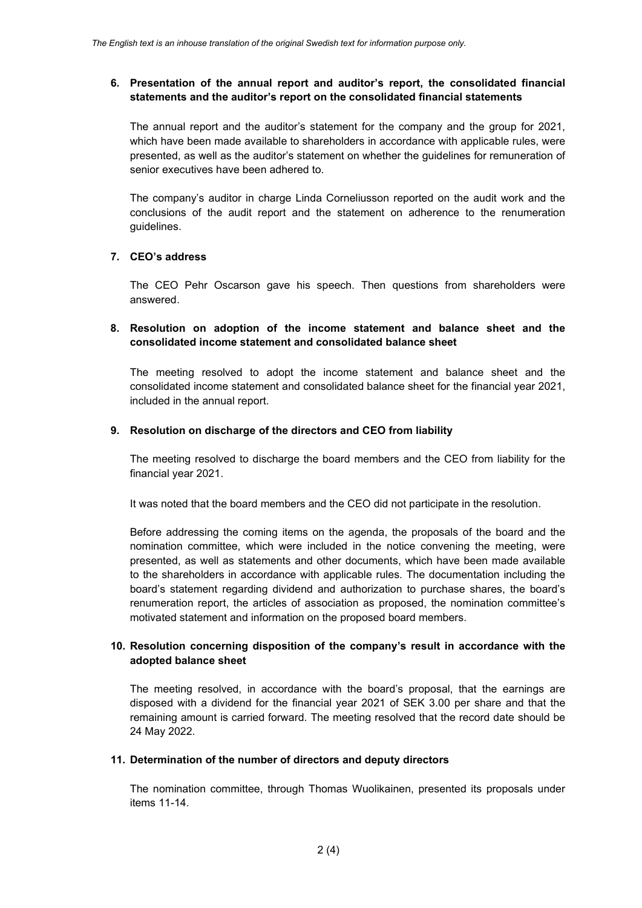## **6. Presentation of the annual report and auditor's report, the consolidated financial statements and the auditor's report on the consolidated financial statements**

The annual report and the auditor's statement for the company and the group for 2021, which have been made available to shareholders in accordance with applicable rules, were presented, as well as the auditor's statement on whether the guidelines for remuneration of senior executives have been adhered to.

The company's auditor in charge Linda Corneliusson reported on the audit work and the conclusions of the audit report and the statement on adherence to the renumeration guidelines.

### **7. CEO's address**

The CEO Pehr Oscarson gave his speech. Then questions from shareholders were answered.

## **8. Resolution on adoption of the income statement and balance sheet and the consolidated income statement and consolidated balance sheet**

The meeting resolved to adopt the income statement and balance sheet and the consolidated income statement and consolidated balance sheet for the financial year 2021, included in the annual report.

### **9. Resolution on discharge of the directors and CEO from liability**

The meeting resolved to discharge the board members and the CEO from liability for the financial year 2021.

It was noted that the board members and the CEO did not participate in the resolution.

Before addressing the coming items on the agenda, the proposals of the board and the nomination committee, which were included in the notice convening the meeting, were presented, as well as statements and other documents, which have been made available to the shareholders in accordance with applicable rules. The documentation including the board's statement regarding dividend and authorization to purchase shares, the board's renumeration report, the articles of association as proposed, the nomination committee's motivated statement and information on the proposed board members.

### **10. Resolution concerning disposition of the company's result in accordance with the adopted balance sheet**

The meeting resolved, in accordance with the board's proposal, that the earnings are disposed with a dividend for the financial year 2021 of SEK 3.00 per share and that the remaining amount is carried forward. The meeting resolved that the record date should be 24 May 2022.

#### **11. Determination of the number of directors and deputy directors**

The nomination committee, through Thomas Wuolikainen, presented its proposals under items 11-14.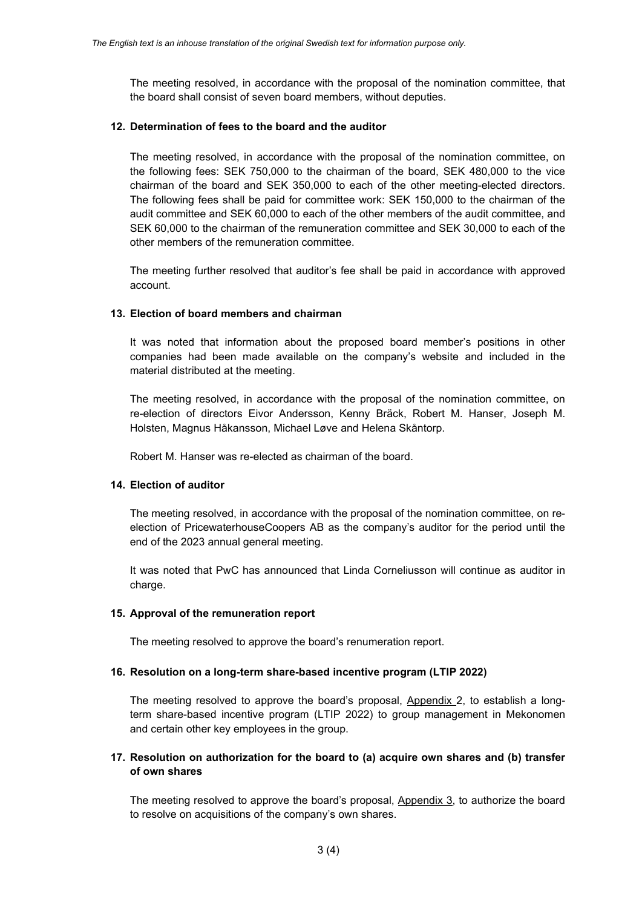The meeting resolved, in accordance with the proposal of the nomination committee, that the board shall consist of seven board members, without deputies.

### **12. Determination of fees to the board and the auditor**

The meeting resolved, in accordance with the proposal of the nomination committee, on the following fees: SEK 750,000 to the chairman of the board, SEK 480,000 to the vice chairman of the board and SEK 350,000 to each of the other meeting-elected directors. The following fees shall be paid for committee work: SEK 150,000 to the chairman of the audit committee and SEK 60,000 to each of the other members of the audit committee, and SEK 60,000 to the chairman of the remuneration committee and SEK 30,000 to each of the other members of the remuneration committee.

The meeting further resolved that auditor's fee shall be paid in accordance with approved account.

### **13. Election of board members and chairman**

It was noted that information about the proposed board member's positions in other companies had been made available on the company's website and included in the material distributed at the meeting.

The meeting resolved, in accordance with the proposal of the nomination committee, on re-election of directors Eivor Andersson, Kenny Bräck, Robert M. Hanser, Joseph M. Holsten, Magnus Håkansson, Michael Løve and Helena Skåntorp.

Robert M. Hanser was re-elected as chairman of the board.

### **14. Election of auditor**

The meeting resolved, in accordance with the proposal of the nomination committee, on reelection of PricewaterhouseCoopers AB as the company's auditor for the period until the end of the 2023 annual general meeting.

It was noted that PwC has announced that Linda Corneliusson will continue as auditor in charge.

### **15. Approval of the remuneration report**

The meeting resolved to approve the board's renumeration report.

### **16. Resolution on a long-term share-based incentive program (LTIP 2022)**

The meeting resolved to approve the board's proposal, Appendix 2, to establish a longterm share-based incentive program (LTIP 2022) to group management in Mekonomen and certain other key employees in the group.

# **17. Resolution on authorization for the board to (a) acquire own shares and (b) transfer of own shares**

The meeting resolved to approve the board's proposal, Appendix 3, to authorize the board to resolve on acquisitions of the company's own shares.